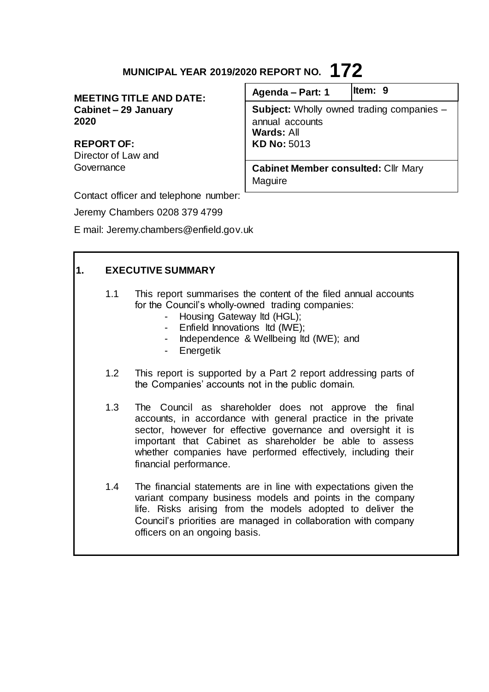# **MUNICIPAL YEAR 2019/2020 REPORT NO. 172**

**MEETING TITLE AND DATE: Cabinet – 29 January 2020**

**REPORT OF:** Director of Law and **Governance** 

| Agenda - Part: 1                                           | ltem: 9                                          |
|------------------------------------------------------------|--------------------------------------------------|
| annual accounts<br><b>Wards: All</b><br><b>KD No: 5013</b> | <b>Subject:</b> Wholly owned trading companies - |
| <b>Cabinet Member consulted: Cllr Mary</b>                 |                                                  |
| Maguire                                                    |                                                  |

Contact officer and telephone number:

Jeremy Chambers 0208 379 4799

E mail: Jeremy.chambers@enfield.gov.uk

| 1. | <b>EXECUTIVE SUMMARY</b> |                                                                                                                                                                                                                                                                                                                                             |
|----|--------------------------|---------------------------------------------------------------------------------------------------------------------------------------------------------------------------------------------------------------------------------------------------------------------------------------------------------------------------------------------|
|    | 1.1                      | This report summarises the content of the filed annual accounts<br>for the Council's wholly-owned trading companies:<br>Housing Gateway Itd (HGL);<br>- Enfield Innovations Itd (IWE);<br>Independence & Wellbeing Itd (IWE); and<br>Energetik                                                                                              |
|    | 1.2                      | This report is supported by a Part 2 report addressing parts of<br>the Companies' accounts not in the public domain.                                                                                                                                                                                                                        |
|    | 1.3                      | The Council as shareholder does not approve the final<br>accounts, in accordance with general practice in the private<br>sector, however for effective governance and oversight it is<br>important that Cabinet as shareholder be able to assess<br>whether companies have performed effectively, including their<br>financial performance. |
|    | 1.4                      | The financial statements are in line with expectations given the<br>variant company business models and points in the company<br>life. Risks arising from the models adopted to deliver the<br>Council's priorities are managed in collaboration with company<br>officers on an ongoing basis.                                              |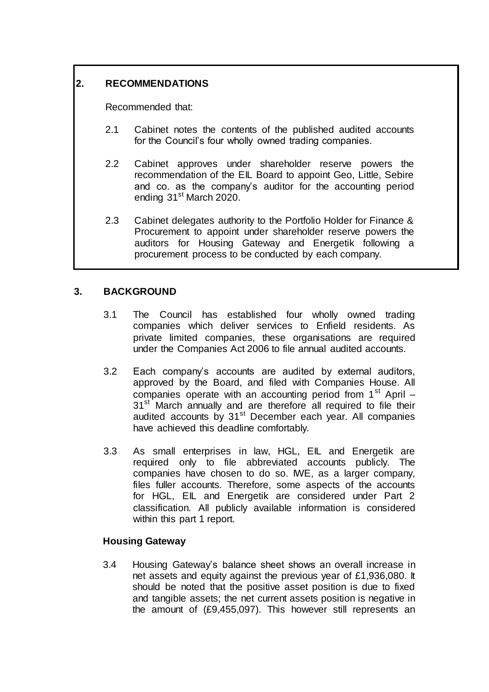# **2. RECOMMENDATIONS**

Recommended that:

- 2.1 Cabinet notes the contents of the published audited accounts for the Council's four wholly owned trading companies.
- 2.2 Cabinet approves under shareholder reserve powers the recommendation of the EIL Board to appoint Geo, Little, Sebire and co. as the company's auditor for the accounting period ending 31<sup>st</sup> March 2020.
- 2.3 Cabinet delegates authority to the Portfolio Holder for Finance & Procurement to appoint under shareholder reserve powers the auditors for Housing Gateway and Energetik following a procurement process to be conducted by each company.

# **3. BACKGROUND**

- 3.1 The Council has established four wholly owned trading companies which deliver services to Enfield residents. As private limited companies, these organisations are required under the Companies Act 2006 to file annual audited accounts.
- 3.2 Each company's accounts are audited by external auditors, approved by the Board, and filed with Companies House. All companies operate with an accounting period from  $1<sup>st</sup>$  April – 31<sup>st</sup> March annually and are therefore all required to file their audited accounts by 31<sup>st</sup> December each year. All companies have achieved this deadline comfortably.
- 3.3 As small enterprises in law, HGL, EIL and Energetik are required only to file abbreviated accounts publicly. The companies have chosen to do so. IWE, as a larger company, files fuller accounts. Therefore, some aspects of the accounts for HGL, EIL and Energetik are considered under Part 2 classification. All publicly available information is considered within this part 1 report.

# **Housing Gateway**

3.4 Housing Gateway's balance sheet shows an overall increase in net assets and equity against the previous year of £1,936,080. It should be noted that the positive asset position is due to fixed and tangible assets; the net current assets position is negative in the amount of (£9,455,097). This however still represents an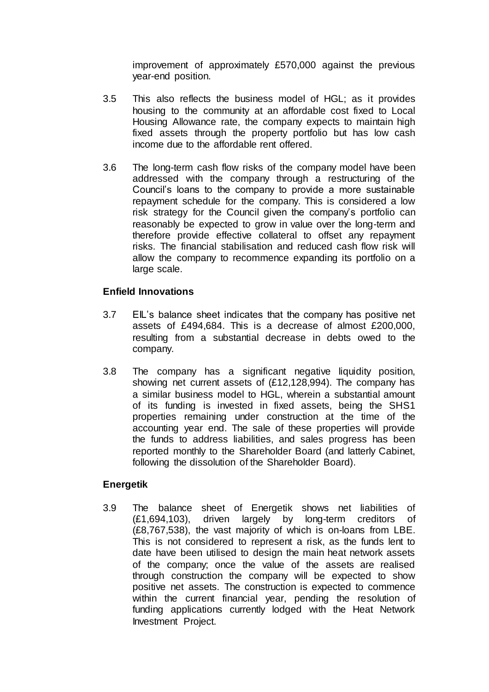improvement of approximately £570,000 against the previous year-end position.

- 3.5 This also reflects the business model of HGL; as it provides housing to the community at an affordable cost fixed to Local Housing Allowance rate, the company expects to maintain high fixed assets through the property portfolio but has low cash income due to the affordable rent offered.
- 3.6 The long-term cash flow risks of the company model have been addressed with the company through a restructuring of the Council's loans to the company to provide a more sustainable repayment schedule for the company. This is considered a low risk strategy for the Council given the company's portfolio can reasonably be expected to grow in value over the long-term and therefore provide effective collateral to offset any repayment risks. The financial stabilisation and reduced cash flow risk will allow the company to recommence expanding its portfolio on a large scale.

#### **Enfield Innovations**

- 3.7 EIL's balance sheet indicates that the company has positive net assets of £494,684. This is a decrease of almost £200,000, resulting from a substantial decrease in debts owed to the company.
- 3.8 The company has a significant negative liquidity position, showing net current assets of (£12,128,994). The company has a similar business model to HGL, wherein a substantial amount of its funding is invested in fixed assets, being the SHS1 properties remaining under construction at the time of the accounting year end. The sale of these properties will provide the funds to address liabilities, and sales progress has been reported monthly to the Shareholder Board (and latterly Cabinet, following the dissolution of the Shareholder Board).

#### **Energetik**

3.9 The balance sheet of Energetik shows net liabilities of (£1,694,103), driven largely by long-term creditors of (£8,767,538), the vast majority of which is on-loans from LBE. This is not considered to represent a risk, as the funds lent to date have been utilised to design the main heat network assets of the company; once the value of the assets are realised through construction the company will be expected to show positive net assets. The construction is expected to commence within the current financial year, pending the resolution of funding applications currently lodged with the Heat Network Investment Project.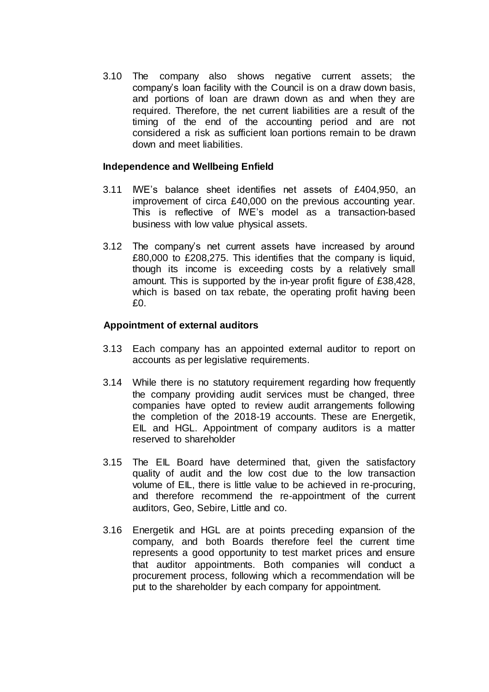3.10 The company also shows negative current assets; the company's loan facility with the Council is on a draw down basis, and portions of loan are drawn down as and when they are required. Therefore, the net current liabilities are a result of the timing of the end of the accounting period and are not considered a risk as sufficient loan portions remain to be drawn down and meet liabilities.

#### **Independence and Wellbeing Enfield**

- 3.11 IWE's balance sheet identifies net assets of £404,950, an improvement of circa £40,000 on the previous accounting year. This is reflective of IWE's model as a transaction-based business with low value physical assets.
- 3.12 The company's net current assets have increased by around £80,000 to £208,275. This identifies that the company is liquid, though its income is exceeding costs by a relatively small amount. This is supported by the in-year profit figure of £38,428, which is based on tax rebate, the operating profit having been  $f(0)$

#### **Appointment of external auditors**

- 3.13 Each company has an appointed external auditor to report on accounts as per legislative requirements.
- 3.14 While there is no statutory requirement regarding how frequently the company providing audit services must be changed, three companies have opted to review audit arrangements following the completion of the 2018-19 accounts. These are Energetik, EIL and HGL. Appointment of company auditors is a matter reserved to shareholder
- 3.15 The EIL Board have determined that, given the satisfactory quality of audit and the low cost due to the low transaction volume of EIL, there is little value to be achieved in re-procuring, and therefore recommend the re-appointment of the current auditors, Geo, Sebire, Little and co.
- 3.16 Energetik and HGL are at points preceding expansion of the company, and both Boards therefore feel the current time represents a good opportunity to test market prices and ensure that auditor appointments. Both companies will conduct a procurement process, following which a recommendation will be put to the shareholder by each company for appointment.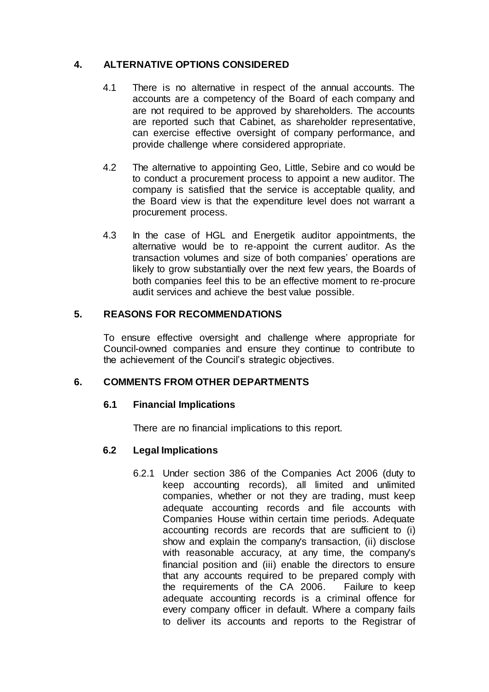# **4. ALTERNATIVE OPTIONS CONSIDERED**

- 4.1 There is no alternative in respect of the annual accounts. The accounts are a competency of the Board of each company and are not required to be approved by shareholders. The accounts are reported such that Cabinet, as shareholder representative, can exercise effective oversight of company performance, and provide challenge where considered appropriate.
- 4.2 The alternative to appointing Geo, Little, Sebire and co would be to conduct a procurement process to appoint a new auditor. The company is satisfied that the service is acceptable quality, and the Board view is that the expenditure level does not warrant a procurement process.
- 4.3 In the case of HGL and Energetik auditor appointments, the alternative would be to re-appoint the current auditor. As the transaction volumes and size of both companies' operations are likely to grow substantially over the next few years, the Boards of both companies feel this to be an effective moment to re-procure audit services and achieve the best value possible.

# **5. REASONS FOR RECOMMENDATIONS**

To ensure effective oversight and challenge where appropriate for Council-owned companies and ensure they continue to contribute to the achievement of the Council's strategic objectives.

#### **6. COMMENTS FROM OTHER DEPARTMENTS**

#### **6.1 Financial Implications**

There are no financial implications to this report.

#### **6.2 Legal Implications**

6.2.1 Under section 386 of the Companies Act 2006 (duty to keep accounting records), all limited and unlimited companies, whether or not they are trading, must keep adequate accounting records and file accounts with Companies House within certain time periods. Adequate accounting records are records that are sufficient to (i) show and explain the company's transaction, (ii) disclose with reasonable accuracy, at any time, the company's financial position and (iii) enable the directors to ensure that any accounts required to be prepared comply with the requirements of the CA 2006. Failure to keep adequate accounting records is a criminal offence for every company officer in default. Where a company fails to deliver its accounts and reports to the Registrar of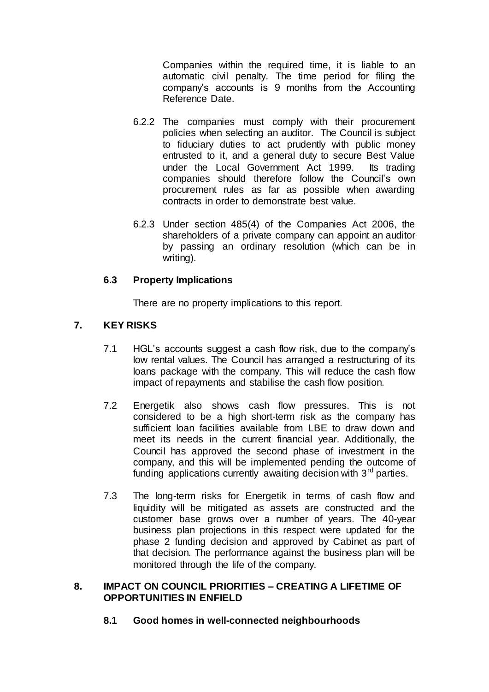Companies within the required time, it is liable to an automatic civil penalty. The time period for filing the company's accounts is 9 months from the Accounting Reference Date.

- 6.2.2 The companies must comply with their procurement policies when selecting an auditor. The Council is subject to fiduciary duties to act prudently with public money entrusted to it, and a general duty to secure Best Value under the Local Government Act 1999. Its trading companies should therefore follow the Council's own procurement rules as far as possible when awarding contracts in order to demonstrate best value.
- 6.2.3 Under section 485(4) of the Companies Act 2006, the shareholders of a private company can appoint an auditor by passing an ordinary resolution (which can be in writing).

# **6.3 Property Implications**

There are no property implications to this report.

# **7. KEY RISKS**

- 7.1 HGL's accounts suggest a cash flow risk, due to the company's low rental values. The Council has arranged a restructuring of its loans package with the company. This will reduce the cash flow impact of repayments and stabilise the cash flow position.
- 7.2 Energetik also shows cash flow pressures. This is not considered to be a high short-term risk as the company has sufficient loan facilities available from LBE to draw down and meet its needs in the current financial year. Additionally, the Council has approved the second phase of investment in the company, and this will be implemented pending the outcome of funding applications currently awaiting decision with  $3<sup>rd</sup>$  parties.
- 7.3 The long-term risks for Energetik in terms of cash flow and liquidity will be mitigated as assets are constructed and the customer base grows over a number of years. The 40-year business plan projections in this respect were updated for the phase 2 funding decision and approved by Cabinet as part of that decision. The performance against the business plan will be monitored through the life of the company.

#### **8. IMPACT ON COUNCIL PRIORITIES – CREATING A LIFETIME OF OPPORTUNITIES IN ENFIELD**

**8.1 Good homes in well-connected neighbourhoods**